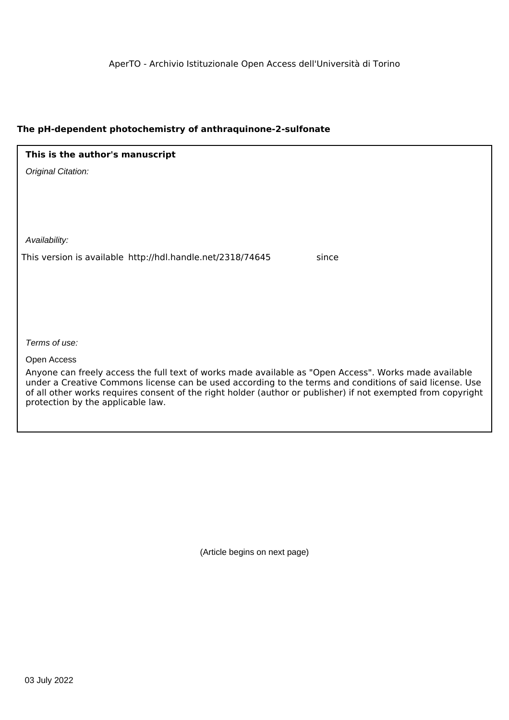# **The pH-dependent photochemistry of anthraquinone-2-sulfonate**

| This is the author's manuscript                                     |
|---------------------------------------------------------------------|
| Original Citation:                                                  |
|                                                                     |
|                                                                     |
|                                                                     |
| Availability:                                                       |
| This version is available http://hdl.handle.net/2318/74645<br>since |
|                                                                     |
|                                                                     |
|                                                                     |
|                                                                     |
| Terms of use:                                                       |
| Open Access                                                         |

Anyone can freely access the full text of works made available as "Open Access". Works made available under a Creative Commons license can be used according to the terms and conditions of said license. Use of all other works requires consent of the right holder (author or publisher) if not exempted from copyright protection by the applicable law.

(Article begins on next page)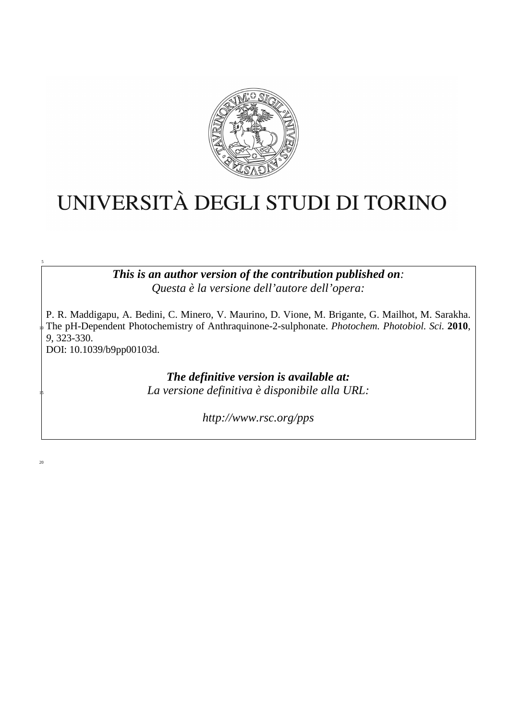

# UNIVERSITÀ DEGLI STUDI DI TORINO

*This is an author version of the contribution published on: Questa è la versione dell'autore dell'opera:* 

P. R. Maddigapu, A. Bedini, C. Minero, V. Maurino, D. Vione, M. Brigante, G. Mailhot, M. Sarakha. <sup>10</sup>The pH-Dependent Photochemistry of Anthraquinone-2-sulphonate. *Photochem. Photobiol. Sci.* **2010**, *9*, 323-330.

DOI: 10.1039/b9pp00103d.

*The definitive version is available at:* <sup>15</sup>*La versione definitiva è disponibile alla URL:* 

*http://www.rsc.org/pps* 

 $20$ 

5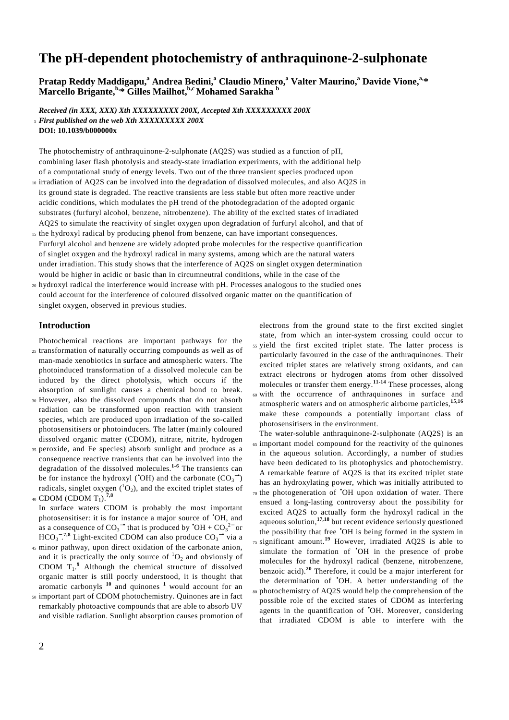# **The pH-dependent photochemistry of anthraquinone-2-sulphonate**

**Pratap Reddy Maddigapu,<sup>a</sup> Andrea Bedini,<sup>a</sup> Claudio Minero,<sup>a</sup> Valter Maurino,<sup>a</sup> Davide Vione,a,\* Marcello Brigante,b,\* Gilles Mailhot,b,c Mohamed Sarakha <sup>b</sup>**

*Received (in XXX, XXX) Xth XXXXXXXXX 200X, Accepted Xth XXXXXXXXX 200X*  <sup>5</sup>*First published on the web Xth XXXXXXXXX 200X* 

#### **DOI: 10.1039/b000000x**

The photochemistry of anthraquinone-2-sulphonate (AQ2S) was studied as a function of pH, combining laser flash photolysis and steady-state irradiation experiments, with the additional help of a computational study of energy levels. Two out of the three transient species produced upon

- 10 irradiation of AQ2S can be involved into the degradation of dissolved molecules, and also AQ2S in its ground state is degraded. The reactive transients are less stable but often more reactive under acidic conditions, which modulates the pH trend of the photodegradation of the adopted organic substrates (furfuryl alcohol, benzene, nitrobenzene). The ability of the excited states of irradiated AQ2S to simulate the reactivity of singlet oxygen upon degradation of furfuryl alcohol, and that of
- <sup>15</sup>the hydroxyl radical by producing phenol from benzene, can have important consequences. Furfuryl alcohol and benzene are widely adopted probe molecules for the respective quantification of singlet oxygen and the hydroxyl radical in many systems, among which are the natural waters under irradiation. This study shows that the interference of AQ2S on singlet oxygen determination would be higher in acidic or basic than in circumneutral conditions, while in the case of the
- <sup>20</sup>hydroxyl radical the interference would increase with pH. Processes analogous to the studied ones could account for the interference of coloured dissolved organic matter on the quantification of singlet oxygen, observed in previous studies.

# **Introduction**

Photochemical reactions are important pathways for the

- <sup>25</sup>transformation of naturally occurring compounds as well as of man-made xenobiotics in surface and atmospheric waters. The photoinduced transformation of a dissolved molecule can be induced by the direct photolysis, which occurs if the absorption of sunlight causes a chemical bond to break.
- <sup>30</sup>However, also the dissolved compounds that do not absorb radiation can be transformed upon reaction with transient species, which are produced upon irradiation of the so-called photosensitisers or photoinducers. The latter (mainly coloured dissolved organic matter (CDOM), nitrate, nitrite, hydrogen
- <sup>35</sup>peroxide, and Fe species) absorb sunlight and produce as a consequence reactive transients that can be involved into the degradation of the dissolved molecules.**1-6** The transients can be for instance the hydroxyl (°OH) and the carbonate  $(CO_3^{\bullet})$ radicals, singlet oxygen  $({}^{1}O_2)$ , and the excited triplet states of <sup>40</sup> CDOM (CDOM T<sub>1</sub>).<sup>7,8</sup>

In surface waters CDOM is probably the most important photosensitiser: it is for instance a major source of •OH, and as a consequence of  $CO_3^{\bullet}$  that is produced by  $\text{OH} + CO_3^{\,2-}$  or  $HCO_3^{-7,8}$  Light-excited CDOM can also produce  $CO_3^{-\bullet}$  via a

- <sup>45</sup>minor pathway, upon direct oxidation of the carbonate anion, and it is practically the only source of  ${}^{1}O_{2}$  and obviously of CDOM  $T_1$ <sup>9</sup> Although the chemical structure of dissolved organic matter is still poorly understood, it is thought that aromatic carbonyls **<sup>10</sup>** and quinones **<sup>1</sup>** would account for an
- <sup>50</sup>important part of CDOM photochemistry. Quinones are in fact remarkably photoactive compounds that are able to absorb UV and visible radiation. Sunlight absorption causes promotion of

electrons from the ground state to the first excited singlet state, from which an inter-system crossing could occur to <sup>55</sup>yield the first excited triplet state. The latter process is particularly favoured in the case of the anthraquinones. Their excited triplet states are relatively strong oxidants, and can extract electrons or hydrogen atoms from other dissolved molecules or transfer them energy.<sup>11-14</sup> These processes, along <sup>60</sup>with the occurrence of anthraquinones in surface and

- atmospheric waters and on atmospheric airborne particles,**15,16** make these compounds a potentially important class of photosensitisers in the environment.
- The water-soluble anthraquinone-2-sulphonate (AQ2S) is an <sup>65</sup>important model compound for the reactivity of the quinones in the aqueous solution. Accordingly, a number of studies have been dedicated to its photophysics and photochemistry. A remarkable feature of AQ2S is that its excited triplet state has an hydroxylating power, which was initially attributed to  $70$  the photogeneration of  $^{\bullet}$ OH upon oxidation of water. There ensued a long-lasting controversy about the possibility for excited AQ2S to actually form the hydroxyl radical in the aqueous solution,**17,18** but recent evidence seriously questioned the possibility that free •OH is being formed in the system in  $75$  significant amount.<sup>19</sup> However, irradiated AQ2S is able to simulate the formation of •OH in the presence of probe molecules for the hydroxyl radical (benzene, nitrobenzene, benzoic acid).**<sup>20</sup>** Therefore, it could be a major interferent for the determination of •OH. A better understanding of the 80 photochemistry of AQ2S would help the comprehension of the possible role of the excited states of CDOM as interfering agents in the quantification of •OH. Moreover, considering that irradiated CDOM is able to interfere with the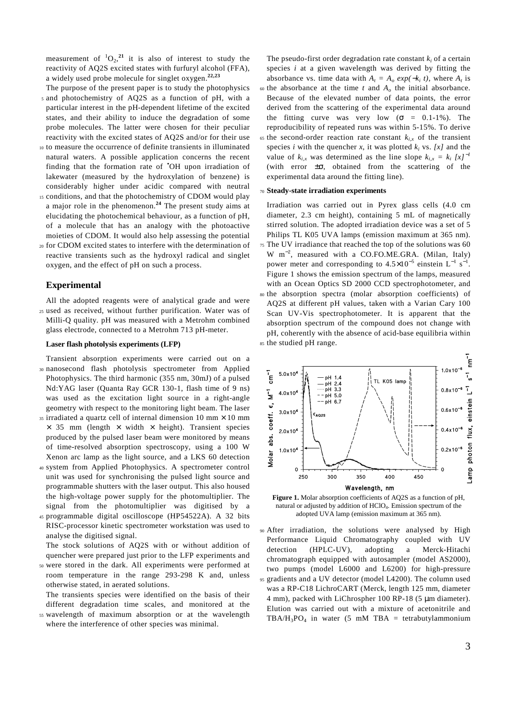measurement of  ${}^{1}O_{2}$ ,<sup>21</sup> it is also of interest to study the reactivity of AQ2S excited states with furfuryl alcohol (FFA), a widely used probe molecule for singlet oxygen.**22,23**

- The purpose of the present paper is to study the photophysics <sup>5</sup>and photochemistry of AQ2S as a function of pH, with a particular interest in the pH-dependent lifetime of the excited states, and their ability to induce the degradation of some probe molecules. The latter were chosen for their peculiar reactivity with the excited states of AQ2S and/or for their use
- <sup>10</sup>to measure the occurrence of definite transients in illuminated natural waters. A possible application concerns the recent finding that the formation rate of •OH upon irradiation of lakewater (measured by the hydroxylation of benzene) is considerably higher under acidic compared with neutral
- 15 conditions, and that the photochemistry of CDOM would play a major role in the phenomenon.**<sup>24</sup>** The present study aims at elucidating the photochemical behaviour, as a function of pH, of a molecule that has an analogy with the photoactive moieties of CDOM. It would also help assessing the potential
- <sup>20</sup>for CDOM excited states to interfere with the determination of reactive transients such as the hydroxyl radical and singlet oxygen, and the effect of pH on such a process.

### **Experimental**

All the adopted reagents were of analytical grade and were <sup>25</sup>used as received, without further purification. Water was of Milli-Q quality. pH was measured with a Metrohm combined glass electrode, connected to a Metrohm 713 pH-meter.

#### **Laser flash photolysis experiments (LFP)**

- Transient absorption experiments were carried out on a <sup>30</sup>nanosecond flash photolysis spectrometer from Applied Photophysics. The third harmonic (355 nm, 30mJ) of a pulsed Nd:YAG laser (Quanta Ray GCR 130-1, flash time of 9 ns) was used as the excitation light source in a right-angle geometry with respect to the monitoring light beam. The laser
- $35$  irradiated a quartz cell of internal dimension 10 mm  $\times$  10 mm  $\times$  35 mm (length  $\times$  width  $\times$  height). Transient species produced by the pulsed laser beam were monitored by means of time-resolved absorption spectroscopy, using a 100 W Xenon arc lamp as the light source, and a LKS 60 detection
- <sup>40</sup>system from Applied Photophysics. A spectrometer control unit was used for synchronising the pulsed light source and programmable shutters with the laser output. This also housed the high-voltage power supply for the photomultiplier. The signal from the photomultiplier was digitised by a
- <sup>45</sup>programmable digital oscilloscope (HP54522A). A 32 bits RISC-processor kinetic spectrometer workstation was used to analyse the digitised signal.

The stock solutions of AQ2S with or without addition of quencher were prepared just prior to the LFP experiments and

- <sup>50</sup>were stored in the dark. All experiments were performed at room temperature in the range 293-298 K and, unless otherwise stated, in aerated solutions.
- The transients species were identified on the basis of their different degradation time scales, and monitored at the <sup>55</sup>wavelength of maximum absorption or at the wavelength
- where the interference of other species was minimal.

The pseudo-first order degradation rate constant  $k_i$  of a certain species *i* at a given wavelength was derived by fitting the absorbance vs. time data with  $A_t = A_o \exp(-k_i t)$ , where  $A_t$  is

- $\omega$  the absorbance at the time *t* and  $A$ <sup>*o*</sup> the initial absorbance. Because of the elevated number of data points, the error derived from the scattering of the experimental data around the fitting curve was very low ( $\sigma = 0.1$ -1%). The reproducibility of repeated runs was within 5-15%. To derive
- 65 the second-order reaction rate constant  $k_{i,x}$  of the transient species *i* with the quencher *x*, it was plotted  $k_i$  vs. [*x*] and the value of  $k_{i,x}$  was determined as the line slope  $k_{i,x} = k_i [x]^{-1}$ (with error  $\pm \sigma$ , obtained from the scattering of the experimental data around the fitting line).

#### <sup>70</sup>**Steady-state irradiation experiments**

Irradiation was carried out in Pyrex glass cells (4.0 cm diameter, 2.3 cm height), containing 5 mL of magnetically stirred solution. The adopted irradiation device was a set of 5 Philips TL K05 UVA lamps (emission maximum at 365 nm). <sup>75</sup>The UV irradiance that reached the top of the solutions was 60 W  $m^{-2}$ , measured with a CO.FO.ME.GRA. (Milan, Italy) power meter and corresponding to  $4.5 \times 10^{-5}$  einstein L<sup>-1</sup> s<sup>-1</sup>. Figure 1 shows the emission spectrum of the lamps, measured with an Ocean Optics SD 2000 CCD spectrophotometer, and <sup>80</sup>the absorption spectra (molar absorption coefficients) of AQ2S at different pH values, taken with a Varian Cary 100 Scan UV-Vis spectrophotometer. It is apparent that the absorption spectrum of the compound does not change with pH, coherently with the absence of acid-base equilibria within <sup>85</sup>the studied pH range.



**Figure 1.** Molar absorption coefficients of AQ2S as a function of pH, natural or adjusted by addition of HClO4. Emission spectrum of the adopted UVA lamp (emission maximum at 365 nm).

<sup>90</sup>After irradiation, the solutions were analysed by High Performance Liquid Chromatography coupled with UV detection (HPLC-UV), adopting a Merck-Hitachi chromatograph equipped with autosampler (model AS2000), two pumps (model L6000 and L6200) for high-pressure <sup>95</sup>gradients and a UV detector (model L4200). The column used was a RP-C18 LichroCART (Merck, length 125 mm, diameter 4 mm), packed with LiChrospher 100 RP-18 (5 µm diameter). Elution was carried out with a mixture of acetonitrile and  $TBA/H_3PO_4$  in water (5 mM TBA = tetrabutylammonium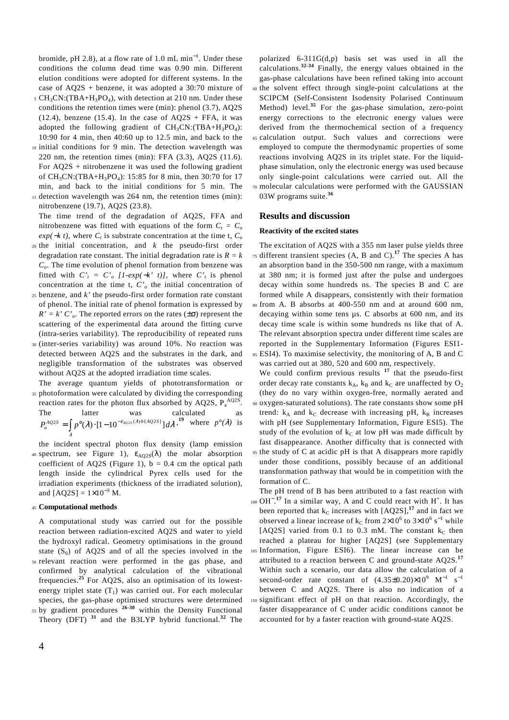bromide, pH 2.8), at a flow rate of 1.0 mL min<sup>-1</sup>. Under these conditions the column dead time was 0.90 min. Different elution conditions were adopted for different systems. In the case of AQ2S + benzene, it was adopted a 30:70 mixture of

- $5 \text{ CH}_3\text{CN}$ :(TBA+H<sub>3</sub>PO<sub>4</sub>), with detection at 210 nm. Under these conditions the retention times were (min): phenol (3.7), AQ2S (12.4), benzene (15.4). In the case of  $AQ2S$  + FFA, it was adopted the following gradient of  $CH_3CN$ : (TBA+ $H_3PO_4$ ): 10:90 for 4 min, then 40:60 up to 12.5 min, and back to the
- 10 initial conditions for 9 min. The detection wavelength was 220 nm, the retention times (min): FFA (3.3), AQ2S (11.6). For AQ2S + nitrobenzene it was used the following gradient of CH<sub>3</sub>CN:(TBA+H<sub>3</sub>PO<sub>4</sub>): 15:85 for 8 min, then 30:70 for 17 min, and back to the initial conditions for 5 min. The <sup>15</sup>detection wavelength was 264 nm, the retention times (min):
- nitrobenzene (19.7), AQ2S (23.8). The time trend of the degradation of AQ2S, FFA and nitrobenzene was fitted with equations of the form  $C_t = C_o$  $exp(-kt)$ , where  $C_t$  is substrate concentration at the time t,  $C_o$
- <sup>20</sup>the initial concentration, and *k* the pseudo-first order degradation rate constant. The initial degradation rate is  $R = k$ *Co* . The time evolution of phenol formation from benzene was fitted with  $C'_t = C'_0$  [1-exp(-k' t)], where  $C'_t$  is phenol concentration at the time t,  $C<sub>o</sub>$  the initial concentration of
- <sup>25</sup>benzene, and *k'* the pseudo-first order formation rate constant of phenol. The initial rate of phenol formation is expressed by  $R' = k' C'_{o}$ . The reported errors on the rates ( $\pm \sigma$ ) represent the scattering of the experimental data around the fitting curve (intra-series variability). The reproducibility of repeated runs
- <sup>30</sup>(inter-series variability) was around 10%. No reaction was detected between AQ2S and the substrates in the dark, and negligible transformation of the substrates was observed without AQ2S at the adopted irradiation time scales.

The average quantum yields of phototransformation or 35 photoformation were calculated by dividing the corresponding

reaction rates for the photon flux absorbed by AQ2S,  $P_a^{AQ2S}$ . The latter was calculated as  $P_a^{AQ2S} = \int p^{\circ}(\lambda) \cdot [1 - 10^{-\varepsilon_{AQ2S}(\lambda) b[AQ2S]}] d\lambda$ ,<sup>19</sup> where  $p^{\circ}(\lambda)$  is λ

the incident spectral photon flux density (lamp emission 40 spectrum, see Figure 1),  $\varepsilon_{AQ2S}(\lambda)$  the molar absorption coefficient of AQ2S (Figure 1),  $b = 0.4$  cm the optical path length inside the cylindrical Pyrex cells used for the irradiation experiments (thickness of the irradiated solution), and  $[AQ2S] = 1 \times 10^{-3}$  M.

#### <sup>45</sup>**Computational methods**

A computational study was carried out for the possible reaction between radiation-excited AQ2S and water to yield the hydroxyl radical. Geometry optimisations in the ground state  $(S_0)$  of AQ2S and of all the species involved in the

- <sup>50</sup>relevant reaction were performed in the gas phase, and confirmed by analytical calculation of the vibrational frequencies.**<sup>25</sup>** For AQ2S, also an optimisation of its lowestenergy triplet state  $(T_1)$  was carried out. For each molecular species, the gas-phase optimised structures were determined
- 55 by gradient procedures <sup>26-30</sup> within the Density Functional Theory (DFT) **<sup>31</sup>** and the B3LYP hybrid functional.**<sup>32</sup>** The

polarized 6-311G(d,p) basis set was used in all the calculations.**32-34** Finally, the energy values obtained in the gas-phase calculations have been refined taking into account <sup>60</sup>the solvent effect through single-point calculations at the SCIPCM (Self-Consistent Isodensity Polarised Continuum Method) level.**<sup>35</sup>** For the gas-phase simulation, zero-point energy corrections to the electronic energy values were derived from the thermochemical section of a frequency <sup>65</sup>calculation output. Such values and corrections were employed to compute the thermodynamic properties of some reactions involving AQ2S in its triplet state. For the liquidphase simulation, only the electronic energy was used because only single-point calculations were carried out. All the <sup>70</sup>molecular calculations were performed with the GAUSSIAN 03W programs suite.**<sup>36</sup>**

#### **Results and discussion**

#### **Reactivity of the excited states**

The excitation of AQ2S with a 355 nm laser pulse yields three  $\sigma$ <sub>75</sub> different transient species (A, B and C).<sup>17</sup> The species A has an absorption band in the 350-500 nm range, with a maximum at 380 nm; it is formed just after the pulse and undergoes decay within some hundreds ns. The species B and C are formed while A disappears, consistently with their formation

<sup>80</sup>from A. B absorbs at 400-550 nm and at around 600 nm, decaying within some tens µs. C absorbs at 600 nm, and its decay time scale is within some hundreds ns like that of A. The relevant absorption spectra under different time scales are reported in the Supplementary Information (Figures ESI1-

<sup>85</sup>ESI4). To maximise selectivity, the monitoring of A, B and C was carried out at 380, 520 and 600 nm, respectively. We could confirm previous results <sup>17</sup> that the pseudo-first

order decay rate constants  $k_A$ ,  $k_B$  and  $k_C$  are unaffected by  $O_2$ (they do no vary within oxygen-free, normally aerated and

<sup>90</sup>oxygen-saturated solutions). The rate constants show some pH trend:  $k_A$  and  $k_C$  decrease with increasing pH,  $k_B$  increases with pH (see Supplementary Information, Figure ESI5). The study of the evolution of  $k<sub>C</sub>$  at low pH was made difficult by fast disappearance. Another difficulty that is connected with <sup>95</sup>the study of C at acidic pH is that A disappears more rapidly under those conditions, possibly because of an additional transformation pathway that would be in competition with the

formation of C. The pH trend of B has been attributed to a fast reaction with

 $_{100}$  OH<sup>-17</sup> In a similar way, A and C could react with H<sup>+</sup>. It has been reported that  $k_C$  increases with  $[AO2S]$ ,<sup>17</sup> and in fact we observed a linear increase of  $k_C$  from  $2 \times 10^6$  to  $3 \times 10^6$  s<sup>-1</sup> while [AQ2S] varied from 0.1 to 0.3 mM. The constant  $k<sub>C</sub>$  then reached a plateau for higher [AQ2S] (see Supplementary <sup>105</sup>Information, Figure ESI6). The linear increase can be attributed to a reaction between C and ground-state AQ2S.**<sup>17</sup>** Within such a scenario, our data allow the calculation of a second-order rate constant of  $(4.35\pm0.20)\times10^{9}$  M<sup>-1</sup> s<sup>-1</sup> between C and AQ2S. There is also no indication of a

<sup>110</sup>significant effect of pH on that reaction. Accordingly, the faster disappearance of C under acidic conditions cannot be accounted for by a faster reaction with ground-state AQ2S.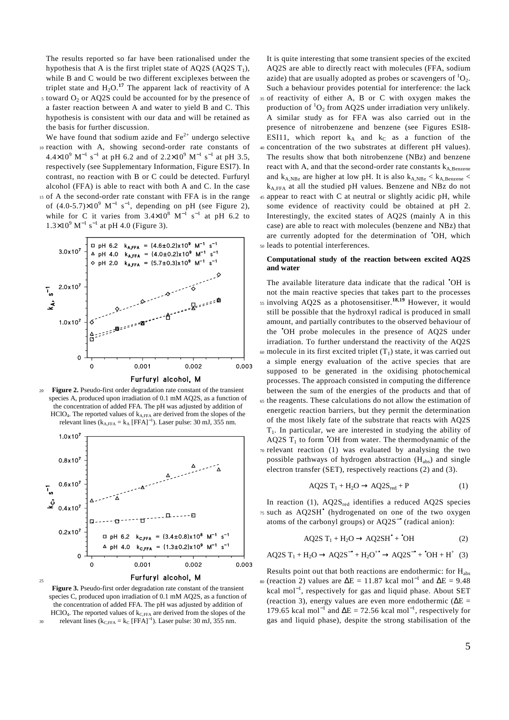The results reported so far have been rationalised under the hypothesis that A is the first triplet state of AQ2S  $(AQ2S T<sub>1</sub>)$ , while B and C would be two different exciplexes between the triplet state and  $H_2O$ .<sup>17</sup> The apparent lack of reactivity of A

- $5$  toward  $O_2$  or AQ2S could be accounted for by the presence of a faster reaction between A and water to yield B and C. This hypothesis is consistent with our data and will be retained as the basis for further discussion.
- We have found that sodium azide and  $Fe<sup>2+</sup>$  undergo selective 10 reaction with A, showing second-order rate constants of  $4.4 \times 10^{9}$  M<sup>-1</sup> s<sup>-1</sup> at pH 6.2 and of  $2.2 \times 10^{9}$  M<sup>-1</sup> s<sup>-1</sup> at pH 3.5, respectively (see Supplementary Information, Figure ESI7). In contrast, no reaction with B or C could be detected. Furfuryl alcohol (FFA) is able to react with both A and C. In the case <sup>15</sup>of A the second-order rate constant with FFA is in the range of  $(4.0\n-5.7)\times10^{9}$  M<sup>-1</sup> s<sup>-1</sup>, depending on pH (see Figure 2),
- while for C it varies from  $3.4 \times 10^8$  M<sup>-1</sup> s<sup>-1</sup> at pH 6.2 to  $1.3 \times 10^{9}$  M<sup>-1</sup> s<sup>-1</sup> at pH 4.0 (Figure 3).



<sup>20</sup>**Figure 2.** Pseudo-first order degradation rate constant of the transient species A, produced upon irradiation of 0.1 mM AQ2S, as a function of the concentration of added FFA. The pH was adjusted by addition of HClO<sub>4</sub>. The reported values of  $k_{A,FFA}$  are derived from the slopes of the relevant lines ( $k_{A,FFA} = k_A$  [FFA]<sup>-1</sup>). Laser pulse: 30 mJ, 355 nm.



**Figure 3.** Pseudo-first order degradation rate constant of the transient species C, produced upon irradiation of 0.1 mM AQ2S, as a function of the concentration of added FFA. The pH was adjusted by addition of  $HClO<sub>4</sub>$ . The reported values of  $k<sub>C,FFA</sub>$  are derived from the slopes of the  $_{30}$  relevant lines ( $k_{C,FFA} = k_C$  [FFA]<sup>-1</sup>). Laser pulse: 30 mJ, 355 nm.

It is quite interesting that some transient species of the excited AQ2S are able to directly react with molecules (FFA, sodium azide) that are usually adopted as probes or scavengers of  ${}^{1}O_{2}$ . Such a behaviour provides potential for interference: the lack <sup>35</sup>of reactivity of either A, B or C with oxygen makes the production of  ${}^{1}O_{2}$  from AQ2S under irradiation very unlikely. A similar study as for FFA was also carried out in the presence of nitrobenzene and benzene (see Figures ESI8- ESI11, which report  $k_A$  and  $k_C$  as a function of the <sup>40</sup>concentration of the two substrates at different pH values). The results show that both nitrobenzene (NBz) and benzene react with A, and that the second-order rate constants  $k_{A,Benzene}$ and  $k_{A,NBz}$  are higher at low pH. It is also  $k_{A,NBz} < k_{A,Benzene}$ kA,FFA at all the studied pH values. Benzene and NBz do not <sup>45</sup>appear to react with C at neutral or slightly acidic pH, while some evidence of reactivity could be obtained at pH 2. Interestingly, the excited states of AQ2S (mainly A in this case) are able to react with molecules (benzene and NBz) that are currently adopted for the determination of •OH, which <sup>50</sup>leads to potential interferences.

#### **Computational study of the reaction between excited AQ2S and water**

The available literature data indicate that the radical •OH is not the main reactive species that takes part to the processes <sup>55</sup> involving AQ2S as a photosensitiser.<sup>18,19</sup> However, it would still be possible that the hydroxyl radical is produced in small amount, and partially contributes to the observed behaviour of the •OH probe molecules in the presence of AQ2S under irradiation. To further understand the reactivity of the AQ2S  $\omega$  molecule in its first excited triplet  $(T_1)$  state, it was carried out a simple energy evaluation of the active species that are supposed to be generated in the oxidising photochemical processes. The approach consisted in computing the difference between the sum of the energies of the products and that of <sup>65</sup>the reagents. These calculations do not allow the estimation of energetic reaction barriers, but they permit the determination of the most likely fate of the substrate that reacts with AQ2S  $T_1$ . In particular, we are interested in studying the ability of AQ2S  $T_1$  to form  $\text{OH}$  from water. The thermodynamic of the  $70$  relevant reaction (1) was evaluated by analysing the two possible pathways of hydrogen abstraction  $(H_{abs})$  and single electron transfer (SET), respectively reactions (2) and (3).

$$
AQ2S T_1 + H_2O \rightarrow AQ2S_{red} + P
$$
 (1)

In reaction (1),  $AQ2S_{red}$  identifies a reduced AQ2S species  $75$  such as  $AQ2SH<sup>•</sup>$  (hydrogenated on one of the two oxygen atoms of the carbonyl groups) or AQ2S−• (radical anion):

$$
AQ2S T_1 + H_2O \rightarrow AQ2SH^{\bullet} + \text{^{\bullet}OH} \tag{2}
$$

$$
AQ2S T1 + H2O \rightarrow AQ2S-• + H2O+ \rightarrow AQ2S-• + •OH + H+ (3)
$$

Results point out that both reactions are endothermic: for  $H_{\text{abs}}$ <sup>80</sup> (reaction 2) values are  $\Delta E = 11.87$  kcal mol<sup>-1</sup> and  $\Delta E = 9.48$ kcal mol<sup>−</sup><sup>1</sup> , respectively for gas and liquid phase. About SET (reaction 3), energy values are even more endothermic ( $\Delta E =$ 179.65 kcal mol<sup>-1</sup> and  $\Delta E = 72.56$  kcal mol<sup>-1</sup>, respectively for gas and liquid phase), despite the strong stabilisation of the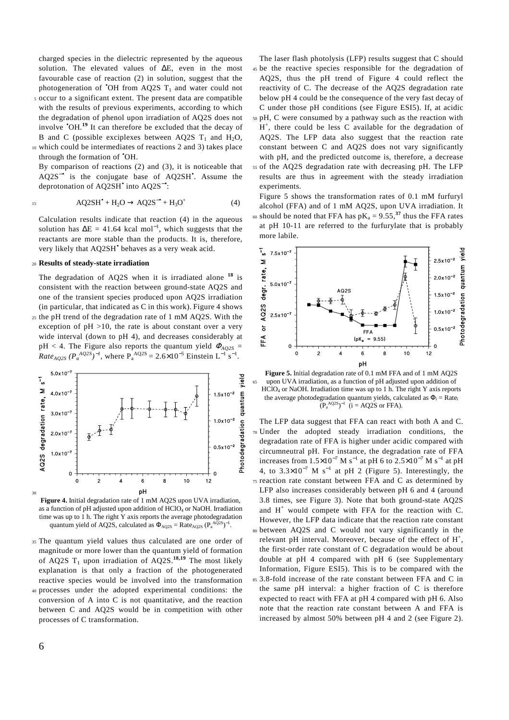charged species in the dielectric represented by the aqueous solution. The elevated values of ∆E, even in the most favourable case of reaction (2) in solution, suggest that the photogeneration of  $\bullet$ OH from AQ2S T<sub>1</sub> and water could not

- <sup>5</sup>occur to a significant extent. The present data are compatible with the results of previous experiments, according to which the degradation of phenol upon irradiation of AQ2S does not involve •OH.**<sup>19</sup>** It can therefore be excluded that the decay of B and C (possible exciplexes between AQ2S  $T_1$  and H<sub>2</sub>O,
- <sup>10</sup>which could be intermediates of reactions 2 and 3) takes place through the formation of •OH.

By comparison of reactions (2) and (3), it is noticeable that AQ2S<sup>-•</sup> is the conjugate base of AQ2SH<sup>•</sup>. Assume the deprotonation of AQ2SH<sup>•</sup> into AQ2S<sup>-•</sup>:

$$
15\,
$$

$$
AQ2SH^{\bullet} + H_2O \rightarrow AQ2S^{-\bullet} + H_3O^{\dagger}
$$
 (4)

Calculation results indicate that reaction (4) in the aqueous solution has  $\Delta E = 41.64$  kcal mol<sup>-1</sup>, which suggests that the reactants are more stable than the products. It is, therefore, very likely that AQ2SH<sup>•</sup> behaves as a very weak acid.

#### <sup>20</sup>**Results of steady-state irradiation**

The degradation of AQ2S when it is irradiated alone **<sup>18</sup>** is consistent with the reaction between ground-state AQ2S and one of the transient species produced upon AQ2S irradiation (in particular, that indicated as  $C$  in this work). Figure 4 shows <sup>25</sup>the pH trend of the degradation rate of 1 mM AQ2S. With the

exception of  $pH > 10$ , the rate is about constant over a very wide interval (down to pH 4), and decreases considerably at pH < 4. The Figure also reports the quantum yield <sup>Φ</sup>*AQ2S = Rate<sub>AQ2S</sub>*  $(P_a^{AQ2S})^{-1}$ , where  $P_a^{AQ2S} = 2.6 \times 10^{-5}$  Einstein L<sup>-1</sup> s<sup>-1</sup>.



**Figure 4.** Initial degradation rate of 1 mM AQ2S upon UVA irradiation, as a function of pH adjusted upon addition of  $HClO<sub>4</sub>$  or NaOH. Irradiation time was up to 1 h. The right Y axis reports the average photodegradation quantum yield of AQ2S, calculated as  $\Phi_{AQ2S} = \text{Rate}_{AQ2S} (P_a^{AQ2S})^{-1}$ .

- <sup>35</sup>The quantum yield values thus calculated are one order of magnitude or more lower than the quantum yield of formation of AQ2S  $T_1$  upon irradiation of AQ2S.<sup>18,19</sup> The most likely explanation is that only a fraction of the photogenerated reactive species would be involved into the transformation
- <sup>40</sup>processes under the adopted experimental conditions: the conversion of A into C is not quantitative, and the reaction between C and AQ2S would be in competition with other processes of C transformation.

The laser flash photolysis (LFP) results suggest that C should <sup>45</sup>be the reactive species responsible for the degradation of AQ2S, thus the pH trend of Figure 4 could reflect the reactivity of C. The decrease of the AQ2S degradation rate below pH 4 could be the consequence of the very fast decay of C under those pH conditions (see Figure ESI5). If, at acidic <sup>50</sup>pH, C were consumed by a pathway such as the reaction with H + , there could be less C available for the degradation of AQ2S. The LFP data also suggest that the reaction rate constant between C and AQ2S does not vary significantly with pH, and the predicted outcome is, therefore, a decrease <sup>55</sup>of the AQ2S degradation rate with decreasing pH. The LFP

results are thus in agreement with the steady irradiation experiments.

Figure 5 shows the transformation rates of 0.1 mM furfuryl alcohol (FFA) and of 1 mM AQ2S, upon UVA irradiation. It  $\omega$  should be noted that FFA has  $pK_a = 9.55$ ,<sup>37</sup> thus the FFA rates

at pH 10-11 are referred to the furfurylate that is probably more labile.



**Figure 5.** Initial degradation rate of 0.1 mM FFA and of 1 mM AQ2S <sup>65</sup>upon UVA irradiation, as a function of pH adjusted upon addition of HClO4 or NaOH. Irradiation time was up to 1 h. The right Y axis reports the average photodegradation quantum yields, calculated as  $\Phi_i = \text{Rate}_i$  $(P_a^{AQ2S})^{-1}$  (i = AQ2S or FFA).

The LFP data suggest that FFA can react with both A and C. Under the adopted steady irradiation conditions, the degradation rate of FFA is higher under acidic compared with circumneutral pH. For instance, the degradation rate of FFA increases from  $1.5 \times 10^{-7}$  M s<sup>-1</sup> at pH 6 to  $2.5 \times 10^{-7}$  M s<sup>-1</sup> at pH 4, to  $3.3 \times 10^{-7}$  M s<sup>-1</sup> at pH 2 (Figure 5). Interestingly, the 75 reaction rate constant between FFA and C as determined by LFP also increases considerably between pH 6 and 4 (around 3.8 times, see Figure 3). Note that both ground-state AQ2S and H<sup>+</sup> would compete with FFA for the reaction with C. However, the LFP data indicate that the reaction rate constant <sup>80</sup>between AQ2S and C would not vary significantly in the relevant pH interval. Moreover, because of the effect of H<sup>+</sup>, the first-order rate constant of C degradation would be about double at pH 4 compared with pH 6 (see Supplementary Information, Figure ESI5). This is to be compared with the <sup>85</sup>3.8-fold increase of the rate constant between FFA and C in the same pH interval: a higher fraction of C is therefore expected to react with FFA at pH 4 compared with pH 6. Also note that the reaction rate constant between A and FFA is increased by almost 50% between pH 4 and 2 (see Figure 2).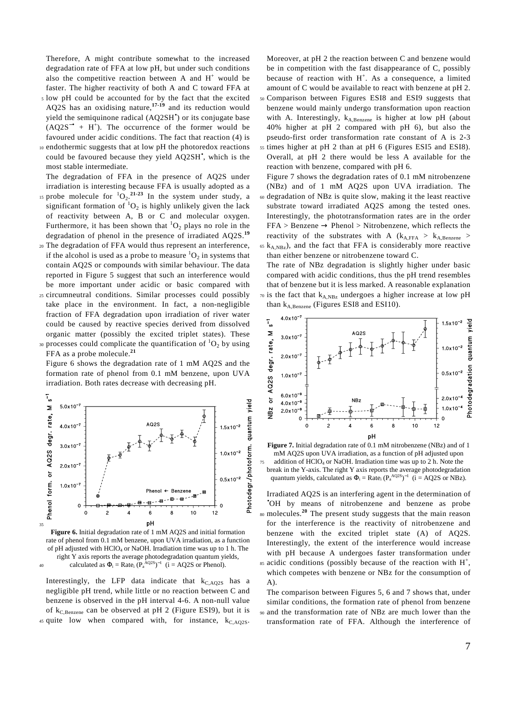Therefore, A might contribute somewhat to the increased degradation rate of FFA at low pH, but under such conditions also the competitive reaction between A and  $H^+$  would be faster. The higher reactivity of both A and C toward FFA at

- <sup>5</sup>low pH could be accounted for by the fact that the excited AQ2S has an oxidising nature,**17-19** and its reduction would yield the semiquinone radical (AQ2SH• ) or its conjugate base  $(AQ2S^{-\bullet} + H^+).$  The occurrence of the former would be favoured under acidic conditions. The fact that reaction (4) is
- <sup>10</sup>endothermic suggests that at low pH the photoredox reactions could be favoured because they yield AQ2SH• , which is the most stable intermediate.

The degradation of FFA in the presence of AQ2S under irradiation is interesting because FFA is usually adopted as a

- is probe molecule for  ${}^{1}O_{2}$ .<sup>21-23</sup> In the system under study, a significant formation of  ${}^{1}O_{2}$  is highly unlikely given the lack of reactivity between A, B or C and molecular oxygen. Furthermore, it has been shown that  ${}^{1}O_{2}$  plays no role in the degradation of phenol in the presence of irradiated AQ2S.**<sup>19</sup>**
- <sup>20</sup>The degradation of FFA would thus represent an interference, if the alcohol is used as a probe to measure  ${}^{1}O_{2}$  in systems that contain AQ2S or compounds with similar behaviour. The data reported in Figure 5 suggest that such an interference would be more important under acidic or basic compared with
- <sup>25</sup>circumneutral conditions. Similar processes could possibly take place in the environment. In fact, a non-negligible fraction of FFA degradation upon irradiation of river water could be caused by reactive species derived from dissolved organic matter (possibly the excited triplet states). These
- 30 processes could complicate the quantification of  ${}^{1}O_{2}$  by using FFA as a probe molecule.**<sup>21</sup>**

Figure 6 shows the degradation rate of 1 mM AQ2S and the formation rate of phenol from 0.1 mM benzene, upon UVA irradiation. Both rates decrease with decreasing pH.



**Figure 6.** Initial degradation rate of 1 mM AQ2S and initial formation rate of phenol from 0.1 mM benzene, upon UVA irradiation, as a function of pH adjusted with  $HCIO<sub>4</sub>$  or NaOH. Irradiation time was up to 1 h. The right Y axis reports the average photodegradation quantum yields, able calculated as  $\Phi_i = \text{Rate}_i (P_a^{AQ2S})^{-1}$  ( $i = AQ2S$  or Phenol).

Interestingly, the LFP data indicate that  $k_{C, AQ2S}$  has a negligible pH trend, while little or no reaction between C and benzene is observed in the pH interval 4-6. A non-null value of  $k_{C,Benzene}$  can be observed at pH 2 (Figure ESI9), but it is  $45$  quite low when compared with, for instance,  $k<sub>CAO2S</sub>$ .

Moreover, at pH 2 the reaction between C and benzene would be in competition with the fast disappearance of C, possibly because of reaction with  $H^+$ . As a consequence, a limited amount of C would be available to react with benzene at pH 2. <sup>50</sup>Comparison between Figures ESI8 and ESI9 suggests that benzene would mainly undergo transformation upon reaction with A. Interestingly,  $k_{A, Benzene}$  is higher at low pH (about

- 40% higher at pH 2 compared with pH 6), but also the pseudo-first order transformation rate constant of A is 2-3 <sup>55</sup>times higher at pH 2 than at pH 6 (Figures ESI5 and ESI8).
- Overall, at pH 2 there would be less A available for the reaction with benzene, compared with pH 6. Figure 7 shows the degradation rates of 0.1 mM nitrobenzene
- (NBz) and of 1 mM AQ2S upon UVA irradiation. The <sup>60</sup>degradation of NBz is quite slow, making it the least reactive substrate toward irradiated AQ2S among the tested ones. Interestingly, the phototransformation rates are in the order  $FFA > \text{Benzene} \rightarrow \text{Phenol} > \text{Nitrobenzene},$  which reflects the reactivity of the substrates with A  $(k_{A,FFA} > k_{A,Benzene} >$  $65$  k<sub>A,NBz</sub>), and the fact that FFA is considerably more reactive
- than either benzene or nitrobenzene toward C. The rate of NBz degradation is slightly higher under basic compared with acidic conditions, thus the pH trend resembles that of benzene but it is less marked. A reasonable explanation  $\pi$  is the fact that  $k_{A,NBz}$  undergoes a higher increase at low pH than  $k_{A, Benzene}$  (Figures ESI8 and ESI10).





Irradiated AQ2S is an interfering agent in the determination of •OH by means of nitrobenzene and benzene as probe <sup>80</sup> molecules.<sup>20</sup> The present study suggests that the main reason for the interference is the reactivity of nitrobenzene and benzene with the excited triplet state (A) of AQ2S. Interestingly, the extent of the interference would increase with pH because A undergoes faster transformation under  $^{85}$  acidic conditions (possibly because of the reaction with H<sup>+</sup>,

which competes with benzene or NBz for the consumption of A).

The comparison between Figures 5, 6 and 7 shows that, under similar conditions, the formation rate of phenol from benzene <sup>90</sup>and the transformation rate of NBz are much lower than the transformation rate of FFA. Although the interference of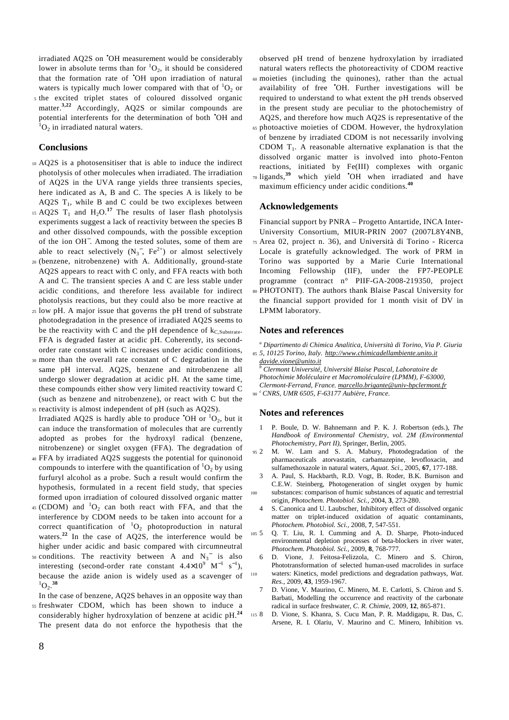irradiated AQ2S on •OH measurement would be considerably lower in absolute terms than for  ${}^{1}O_{2}$ , it should be considered that the formation rate of •OH upon irradiation of natural waters is typically much lower compared with that of  ${}^{1}O_{2}$  or <sup>5</sup>the excited triplet states of coloured dissolved organic

matter.**3,22** Accordingly, AQ2S or similar compounds are potential interferents for the determination of both •OH and  ${}^{1}O_{2}$  in irradiated natural waters.

# **Conclusions**

- <sup>10</sup>AQ2S is a photosensitiser that is able to induce the indirect photolysis of other molecules when irradiated. The irradiation of AQ2S in the UVA range yields three transients species, here indicated as A, B and C. The species A is likely to be AQ2S  $T_1$ , while B and C could be two exciplexes between
- 15 AQ2S  $T_1$  and  $H_2O$ .<sup>17</sup> The results of laser flash photolysis experiments suggest a lack of reactivity between the species B and other dissolved compounds, with the possible exception of the ion OH<sup>−</sup> . Among the tested solutes, some of them are able to react selectively  $(N_3^-$ ,  $Fe^{2+}$ ) or almost selectively
- <sup>20</sup>(benzene, nitrobenzene) with A. Additionally, ground-state AQ2S appears to react with C only, and FFA reacts with both A and C. The transient species A and C are less stable under acidic conditions, and therefore less available for indirect photolysis reactions, but they could also be more reactive at
- <sup>25</sup>low pH. A major issue that governs the pH trend of substrate photodegradation in the presence of irradiated AQ2S seems to be the reactivity with C and the pH dependence of  $k_{C.Substrate}$ . FFA is degraded faster at acidic pH. Coherently, its secondorder rate constant with C increases under acidic conditions,
- <sup>30</sup>more than the overall rate constant of C degradation in the same pH interval. AQ2S, benzene and nitrobenzene all undergo slower degradation at acidic pH. At the same time, these compounds either show very limited reactivity toward C (such as benzene and nitrobenzene), or react with C but the <sup>35</sup>reactivity is almost independent of pH (such as AQ2S).
- Irradiated AQ2S is hardly able to produce  $\text{O}H$  or  ${}^{1}O_{2}$ , but it can induce the transformation of molecules that are currently adopted as probes for the hydroxyl radical (benzene, nitrobenzene) or singlet oxygen (FFA). The degradation of
- <sup>40</sup>FFA by irradiated AQ2S suggests the potential for quinonoid compounds to interfere with the quantification of  ${}^{1}O_{2}$  by using furfuryl alcohol as a probe. Such a result would confirm the hypothesis, formulated in a recent field study, that species formed upon irradiation of coloured dissolved organic matter
- 45 (CDOM) and  ${}^{1}O_2$  can both react with FFA, and that the interference by CDOM needs to be taken into account for a correct quantification of  ${}^{1}O_{2}$  photoproduction in natural waters.<sup>22</sup> In the case of AQ2S, the interference would be higher under acidic and basic compared with circumneutral
- $50$  conditions. The reactivity between A and  $N_3$ <sup>-</sup> is also interesting (second-order rate constant  $4.4 \times 10^{9}$  M<sup>-1</sup> s<sup>-1</sup>), because the azide anion is widely used as a scavenger of  $^{1}O_{2}$ <sup>38</sup>
- In the case of benzene, AQ2S behaves in an opposite way than <sup>55</sup>freshwater CDOM, which has been shown to induce a
- considerably higher hydroxylation of benzene at acidic pH.**<sup>24</sup>** The present data do not enforce the hypothesis that the

observed pH trend of benzene hydroxylation by irradiated natural waters reflects the photoreactivity of CDOM reactive <sup>60</sup>moieties (including the quinones), rather than the actual availability of free 'OH. Further investigations will be required to understand to what extent the pH trends observed in the present study are peculiar to the photochemistry of AQ2S, and therefore how much AQ2S is representative of the <sup>65</sup>photoactive moieties of CDOM. However, the hydroxylation of benzene by irradiated CDOM is not necessarily involving CDOM  $T_1$ . A reasonable alternative explanation is that the dissolved organic matter is involved into photo-Fenton reactions, initiated by Fe(III) complexes with organic 70 ligands,<sup>39</sup> which yield 'OH when irradiated and have maximum efficiency under acidic conditions.**<sup>40</sup>**

#### **Acknowledgements**

Financial support by PNRA – Progetto Antartide, INCA Inter-University Consortium, MIUR-PRIN 2007 (2007L8Y4NB,

<sup>75</sup>Area 02, project n. 36), and Università di Torino - Ricerca Locale is gratefully acknowledged. The work of PRM in Torino was supported by a Marie Curie International Incoming Fellowship (IIF), under the FP7-PEOPLE programme (contract n° PIIF-GA-2008-219350, project <sup>80</sup>PHOTONIT). The authors thank Blaise Pascal University for the financial support provided for 1 month visit of DV in

#### **Notes and references**

LPMM laboratory.

*a Dipartimento di Chimica Analitica, Università di Torino, Via P. Giuria*  <sup>85</sup>*5, 10125 Torino, Italy. http://www.chimicadellambiente.unito.it* 

*davide.vione@unito.it*

- *b Clermont Université, Université Blaise Pascal, Laboratoire de*
- *Photochimie Moléculaire et Macromoléculaire (LPMM), F-63000,*
- *Clermont-Ferrand, France. marcello.brigante@univ-bpclermont.fr*
- *c*  <sup>90</sup>*CNRS, UMR 6505, F-63177 Aubière, France.*

# **Notes and references**

- 1 P. Boule, D. W. Bahnemann and P. K. J. Robertson (eds.), *The Handbook of Environmental Chemistry, vol. 2M (Environmental Photochemistry, Part II)*, Springer, Berlin, 2005.
- <sup>95</sup>2 M. W. Lam and S. A. Mabury, Photodegradation of the pharmaceuticals atorvastatin, carbamazepine, levofloxacin, and sulfamethoxazole in natural waters, *Aquat. Sci.*, 2005, **67**, 177-188.
- 3 A. Paul, S. Hackbarth, R.D. Vogt, B. Roder, B.K. Burnison and C.E.W. Steinberg, Photogeneration of singlet oxygen by humic <sup>100</sup>substances: comparison of humic substances of aquatic and terrestrial origin, *Photochem. Photobiol. Sci.*, 2004, **3**, 273-280.
	- 4 S. Canonica and U. Laubscher, Inhibitory effect of dissolved organic matter on triplet-induced oxidation of aquatic contaminants, *Photochem. Photobiol. Sci.*, 2008, **7**, 547-551.
- <sup>105</sup>5 Q. T. Liu, R. I. Cumming and A. D. Sharpe, Photo-induced environmental depletion processes of beta-blockers in river water, *Photochem. Photobiol. Sci.*, 2009, **8**, 768-777.
- 6 D. Vione, J. Feitosa-Felizzola, C. Minero and S. Chiron, Phototransformation of selected human-used macrolides in surface 110 waters: Kinetics, model predictions and degradation pathways, *Wat. Res.*, 2009, **43**, 1959-1967.
	- 7 D. Vione, V. Maurino, C. Minero, M. E. Carlotti, S. Chiron and S. Barbati, Modelling the occurrence and reactivity of the carbonate radical in surface freshwater, *C. R. Chimie*, 2009, **12**, 865-871.
- <sup>115</sup>8 D. Vione, S. Khanra, S. Cucu Man, P. R. Maddigapu, R. Das, C. Arsene, R. I. Olariu, V. Maurino and C. Minero, Inhibition vs.